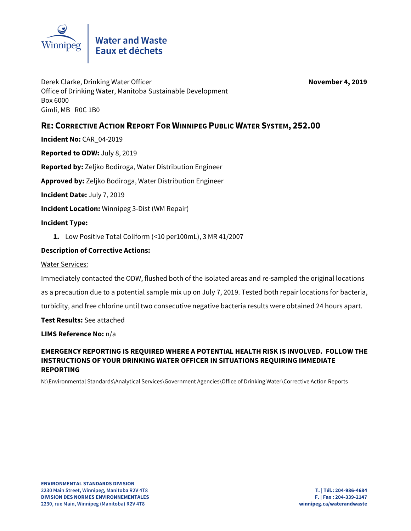

Derek Clarke, Drinking Water Officer **November 4, 2019** Office of Drinking Water, Manitoba Sustainable Development Box 6000 Gimli, MB R0C 1B0

# **RE: CORRECTIVE ACTION REPORT FOR WINNIPEG PUBLIC WATER SYSTEM, 252.00**

**Incident No:** CAR\_04-2019

**Reported to ODW:** July 8, 2019

**Reported by:** Zeljko Bodiroga, Water Distribution Engineer

**Approved by:** Zeljko Bodiroga, Water Distribution Engineer

**Incident Date:** July 7, 2019

**Incident Location:** Winnipeg 3-Dist (WM Repair)

#### **Incident Type:**

**1.** Low Positive Total Coliform (<10 per100mL), 3 MR 41/2007

#### **Description of Corrective Actions:**

Water Services:

Immediately contacted the ODW, flushed both of the isolated areas and re-sampled the original locations

as a precaution due to a potential sample mix up on July 7, 2019. Tested both repair locations for bacteria,

turbidity, and free chlorine until two consecutive negative bacteria results were obtained 24 hours apart.

**Test Results:** See attached

**LIMS Reference No:** n/a

## **EMERGENCY REPORTING IS REQUIRED WHERE A POTENTIAL HEALTH RISK IS INVOLVED. FOLLOW THE INSTRUCTIONS OF YOUR DRINKING WATER OFFICER IN SITUATIONS REQUIRING IMMEDIATE REPORTING**

N:\Environmental Standards\Analytical Services\Government Agencies\Office of Drinking Water\Corrective Action Reports